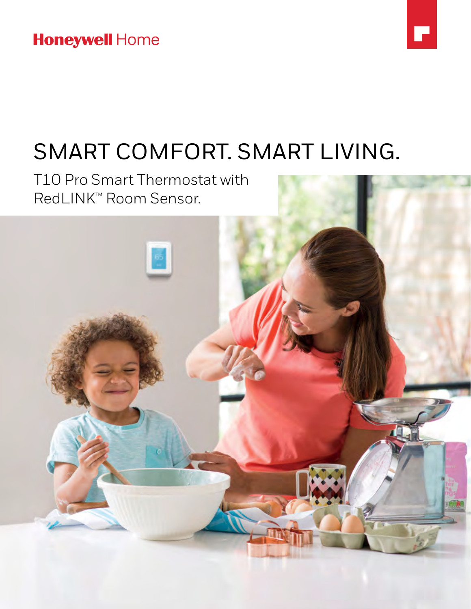### **Honeywell Home**



# SMART COMFORT. SMART LIVING.

T10 Pro Smart Thermostat with RedLINK™ Room Sensor.

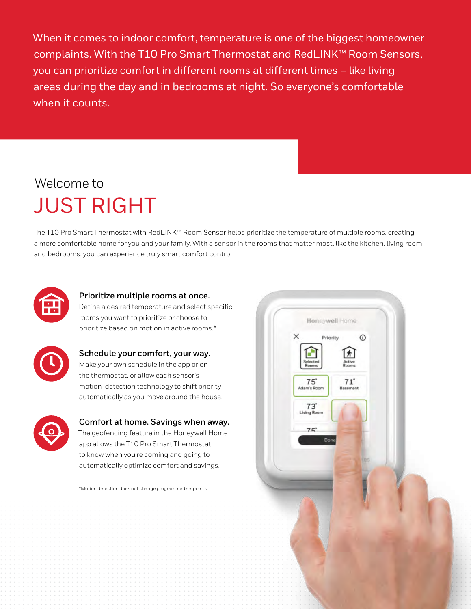When it comes to indoor comfort, temperature is one of the biggest homeowner complaints. With the T10 Pro Smart Thermostat and RedLINK™ Room Sensors, you can prioritize comfort in different rooms at different times – like living areas during the day and in bedrooms at night. So everyone's comfortable when it counts.

## Welcome to JUST RIGHT

The T10 Pro Smart Thermostat with RedLINK™ Room Sensor helps prioritize the temperature of multiple rooms, creating a more comfortable home for you and your family. With a sensor in the rooms that matter most, like the kitchen, living room and bedrooms, you can experience truly smart comfort control.



### **Prioritize multiple rooms at once.**

Define a desired temperature and select specific rooms you want to prioritize or choose to prioritize based on motion in active rooms.\*



#### **Schedule your comfort, your way.** Make your own schedule in the app or on

the thermostat, or allow each sensor's motion-detection technology to shift priority automatically as you move around the house.



### **Comfort at home. Savings when away.** The geofencing feature in the Honeywell Home app allows the T10 Pro Smart Thermostat

to know when you're coming and going to automatically optimize comfort and savings.

\*Motion detection does not change programmed setpoints.

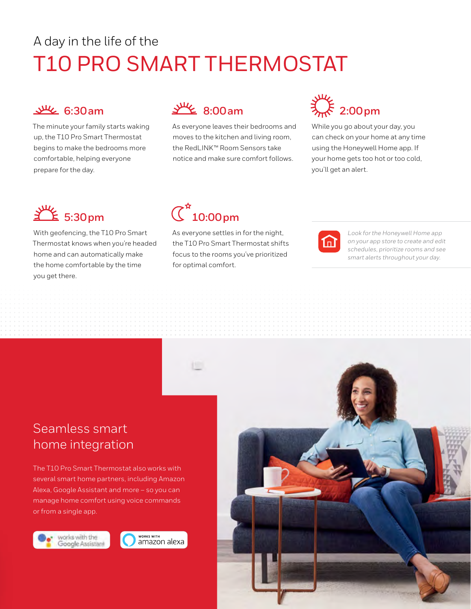## A day in the life of the T10 PRO SMART THERMOSTAT



The minute your family starts waking up, the T10 Pro Smart Thermostat begins to make the bedrooms more comfortable, helping everyone prepare for the day.



As everyone leaves their bedrooms and moves to the kitchen and living room, the RedLINK™ Room Sensors take notice and make sure comfort follows.

## **2:00pm**

While you go about your day, you can check on your home at any time using the Honeywell Home app. If your home gets too hot or too cold, you'll get an alert.



With geofencing, the T10 Pro Smart Thermostat knows when you're headed home and can automatically make the home comfortable by the time you get there.

## $\overline{\text{C}}^{\star}$ 10:00pm

As everyone settles in for the night, the T10 Pro Smart Thermostat shifts focus to the rooms you've prioritized for optimal comfort.



*Look for the Honeywell Home app on your app store to create and edit schedules, prioritize rooms and see smart alerts throughout your day.*

### Seamless smart home integration

The T10 Pro Smart Thermostat also works with several smart home partners, including Amazon Alexa, Google Assistant and more – so you can manage home comfort using voice commands or from a single app.